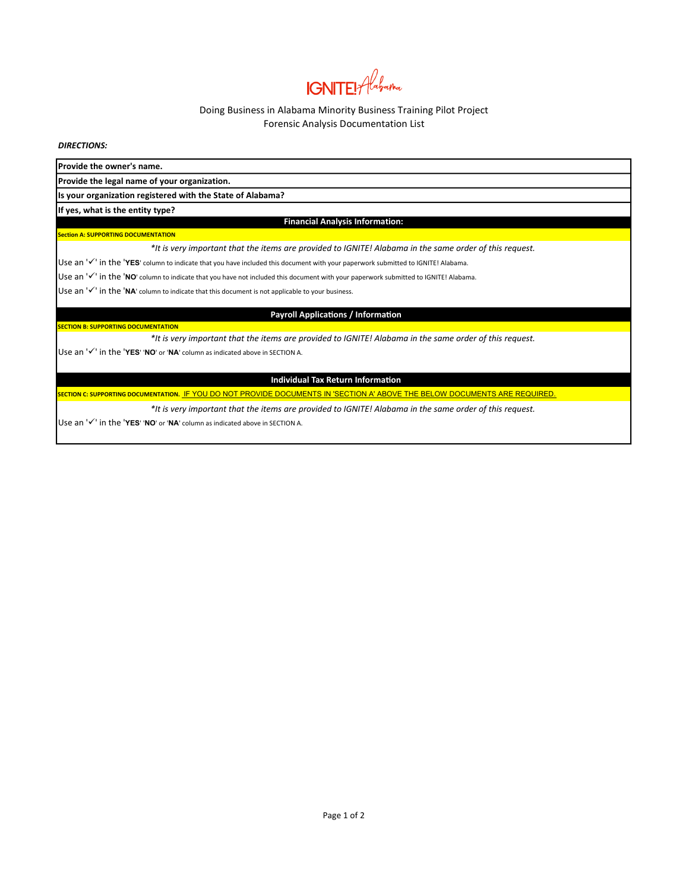# **IGNITE!** Alabama

## Doing Business in Alabama Minority Business Training Pilot Project Forensic Analysis Documentation List

DIRECTIONS:

Provide the owner's name.

Provide the legal name of your organization**.**

Is your organization registered with the State of Alabama?

If yes, what is the entity type?

#### Financial Analysis Information:

**Section A: SUPPORTING DOCUMENTATION** 

**SECTION B: SUPPORTING DOCUMENTATION** 

\*It is very important that the items are provided to IGNITE! Alabama in the same order of this request.

Use an ' $\checkmark$ ' in the 'YES' column to indicate that you have included this document with your paperwork submitted to IGNITE! Alabama.

Use an  $'$  in the 'NO' column to indicate that you have not included this document with your paperwork submitted to IGNITE! Alabama.

Use an  $'\checkmark'$  in the 'NA' column to indicate that this document is not applicable to your business.

## Payroll Applications / Information

\*It is very important that the items are provided to IGNITE! Alabama in the same order of this request.

Use an  $'$  in the 'YES' 'NO' or 'NA' column as indicated above in SECTION A.

#### Individual Tax Return Information

.<br>SECTION C: SUPPORTING DOCUMENTATION. <u>IF YOU DO NOT PROVIDE DOCUMENTS IN 'SECTION A' ABOVE THE BELOW DOCUMENTS ARE REQUIRED.</u>

\*It is very important that the items are provided to IGNITE! Alabama in the same order of this request.

Use an  $'$  in the 'YES' 'NO' or 'NA' column as indicated above in SECTION A.